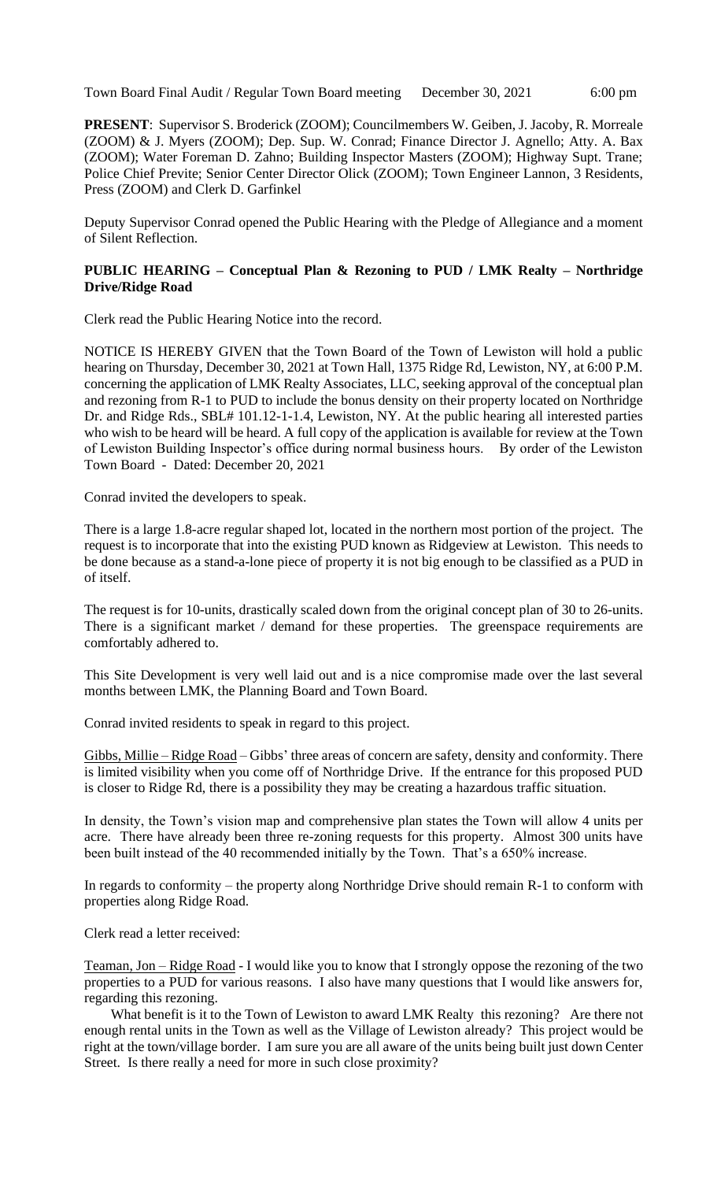**PRESENT**: Supervisor S. Broderick (ZOOM); Councilmembers W. Geiben, J. Jacoby, R. Morreale (ZOOM) & J. Myers (ZOOM); Dep. Sup. W. Conrad; Finance Director J. Agnello; Atty. A. Bax (ZOOM); Water Foreman D. Zahno; Building Inspector Masters (ZOOM); Highway Supt. Trane; Police Chief Previte; Senior Center Director Olick (ZOOM); Town Engineer Lannon, 3 Residents, Press (ZOOM) and Clerk D. Garfinkel

Deputy Supervisor Conrad opened the Public Hearing with the Pledge of Allegiance and a moment of Silent Reflection.

## **PUBLIC HEARING – Conceptual Plan & Rezoning to PUD / LMK Realty – Northridge Drive/Ridge Road**

Clerk read the Public Hearing Notice into the record.

NOTICE IS HEREBY GIVEN that the Town Board of the Town of Lewiston will hold a public hearing on Thursday, December 30, 2021 at Town Hall, 1375 Ridge Rd, Lewiston, NY, at 6:00 P.M. concerning the application of LMK Realty Associates, LLC, seeking approval of the conceptual plan and rezoning from R-1 to PUD to include the bonus density on their property located on Northridge Dr. and Ridge Rds., SBL# 101.12-1-1.4, Lewiston, NY. At the public hearing all interested parties who wish to be heard will be heard. A full copy of the application is available for review at the Town of Lewiston Building Inspector's office during normal business hours. By order of the Lewiston Town Board - Dated: December 20, 2021

Conrad invited the developers to speak.

There is a large 1.8-acre regular shaped lot, located in the northern most portion of the project. The request is to incorporate that into the existing PUD known as Ridgeview at Lewiston. This needs to be done because as a stand-a-lone piece of property it is not big enough to be classified as a PUD in of itself.

The request is for 10-units, drastically scaled down from the original concept plan of 30 to 26-units. There is a significant market / demand for these properties. The greenspace requirements are comfortably adhered to.

This Site Development is very well laid out and is a nice compromise made over the last several months between LMK, the Planning Board and Town Board.

Conrad invited residents to speak in regard to this project.

Gibbs, Millie – Ridge Road – Gibbs' three areas of concern are safety, density and conformity. There is limited visibility when you come off of Northridge Drive. If the entrance for this proposed PUD is closer to Ridge Rd, there is a possibility they may be creating a hazardous traffic situation.

In density, the Town's vision map and comprehensive plan states the Town will allow 4 units per acre. There have already been three re-zoning requests for this property. Almost 300 units have been built instead of the 40 recommended initially by the Town. That's a 650% increase.

In regards to conformity – the property along Northridge Drive should remain R-1 to conform with properties along Ridge Road.

Clerk read a letter received:

Teaman, Jon – Ridge Road - I would like you to know that I strongly oppose the rezoning of the two properties to a PUD for various reasons. I also have many questions that I would like answers for, regarding this rezoning.

What benefit is it to the Town of Lewiston to award LMK Realty this rezoning? Are there not enough rental units in the Town as well as the Village of Lewiston already? This project would be right at the town/village border. I am sure you are all aware of the units being built just down Center Street. Is there really a need for more in such close proximity?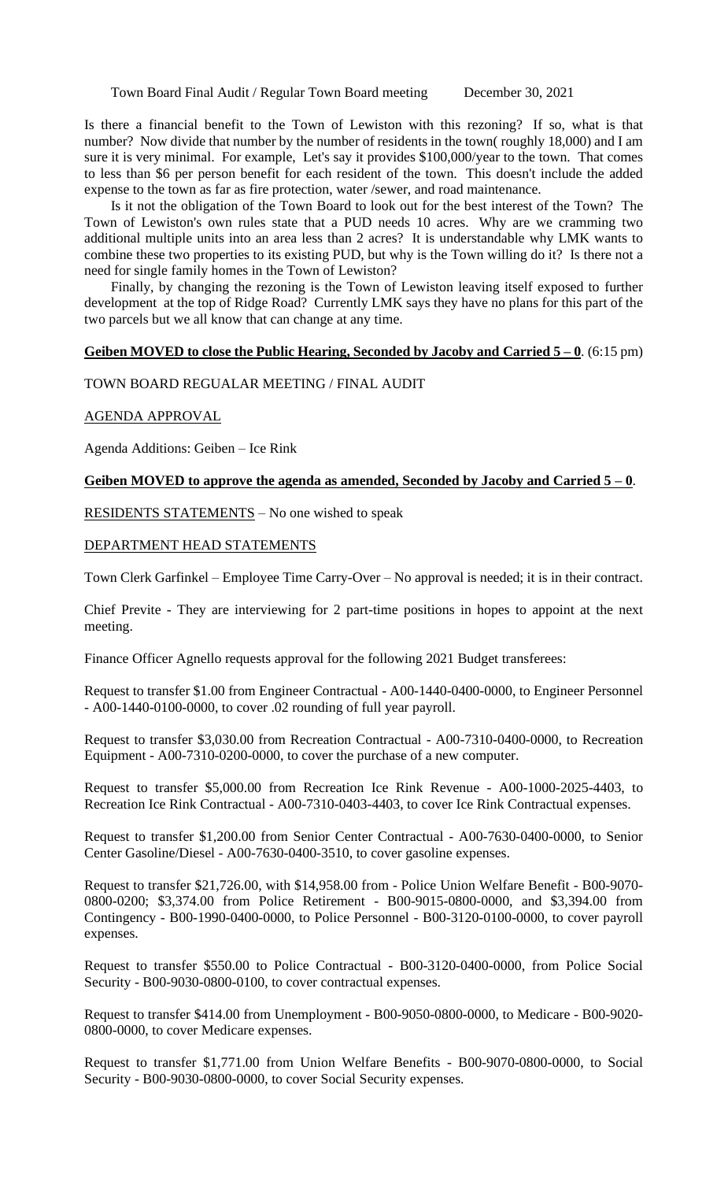Is there a financial benefit to the Town of Lewiston with this rezoning? If so, what is that number? Now divide that number by the number of residents in the town( roughly 18,000) and I am sure it is very minimal. For example, Let's say it provides \$100,000/year to the town. That comes to less than \$6 per person benefit for each resident of the town. This doesn't include the added expense to the town as far as fire protection, water /sewer, and road maintenance.

Is it not the obligation of the Town Board to look out for the best interest of the Town? The Town of Lewiston's own rules state that a PUD needs 10 acres. Why are we cramming two additional multiple units into an area less than 2 acres? It is understandable why LMK wants to combine these two properties to its existing PUD, but why is the Town willing do it? Is there not a need for single family homes in the Town of Lewiston?

Finally, by changing the rezoning is the Town of Lewiston leaving itself exposed to further development at the top of Ridge Road? Currently LMK says they have no plans for this part of the two parcels but we all know that can change at any time.

#### **Geiben MOVED to close the Public Hearing, Seconded by Jacoby and Carried 5 – 0**. (6:15 pm)

#### TOWN BOARD REGUALAR MEETING / FINAL AUDIT

#### AGENDA APPROVAL

Agenda Additions: Geiben – Ice Rink

#### **Geiben MOVED to approve the agenda as amended, Seconded by Jacoby and Carried 5 – 0**.

RESIDENTS STATEMENTS – No one wished to speak

#### DEPARTMENT HEAD STATEMENTS

Town Clerk Garfinkel – Employee Time Carry-Over – No approval is needed; it is in their contract.

Chief Previte - They are interviewing for 2 part-time positions in hopes to appoint at the next meeting.

Finance Officer Agnello requests approval for the following 2021 Budget transferees:

Request to transfer \$1.00 from Engineer Contractual - A00-1440-0400-0000, to Engineer Personnel - A00-1440-0100-0000, to cover .02 rounding of full year payroll.

Request to transfer \$3,030.00 from Recreation Contractual - A00-7310-0400-0000, to Recreation Equipment - A00-7310-0200-0000, to cover the purchase of a new computer.

Request to transfer \$5,000.00 from Recreation Ice Rink Revenue - A00-1000-2025-4403, to Recreation Ice Rink Contractual - A00-7310-0403-4403, to cover Ice Rink Contractual expenses.

Request to transfer \$1,200.00 from Senior Center Contractual - A00-7630-0400-0000, to Senior Center Gasoline/Diesel - A00-7630-0400-3510, to cover gasoline expenses.

Request to transfer \$21,726.00, with \$14,958.00 from - Police Union Welfare Benefit - B00-9070- 0800-0200; \$3,374.00 from Police Retirement - B00-9015-0800-0000, and \$3,394.00 from Contingency - B00-1990-0400-0000, to Police Personnel - B00-3120-0100-0000, to cover payroll expenses.

Request to transfer \$550.00 to Police Contractual - B00-3120-0400-0000, from Police Social Security - B00-9030-0800-0100, to cover contractual expenses.

Request to transfer \$414.00 from Unemployment - B00-9050-0800-0000, to Medicare - B00-9020- 0800-0000, to cover Medicare expenses.

Request to transfer \$1,771.00 from Union Welfare Benefits - B00-9070-0800-0000, to Social Security - B00-9030-0800-0000, to cover Social Security expenses.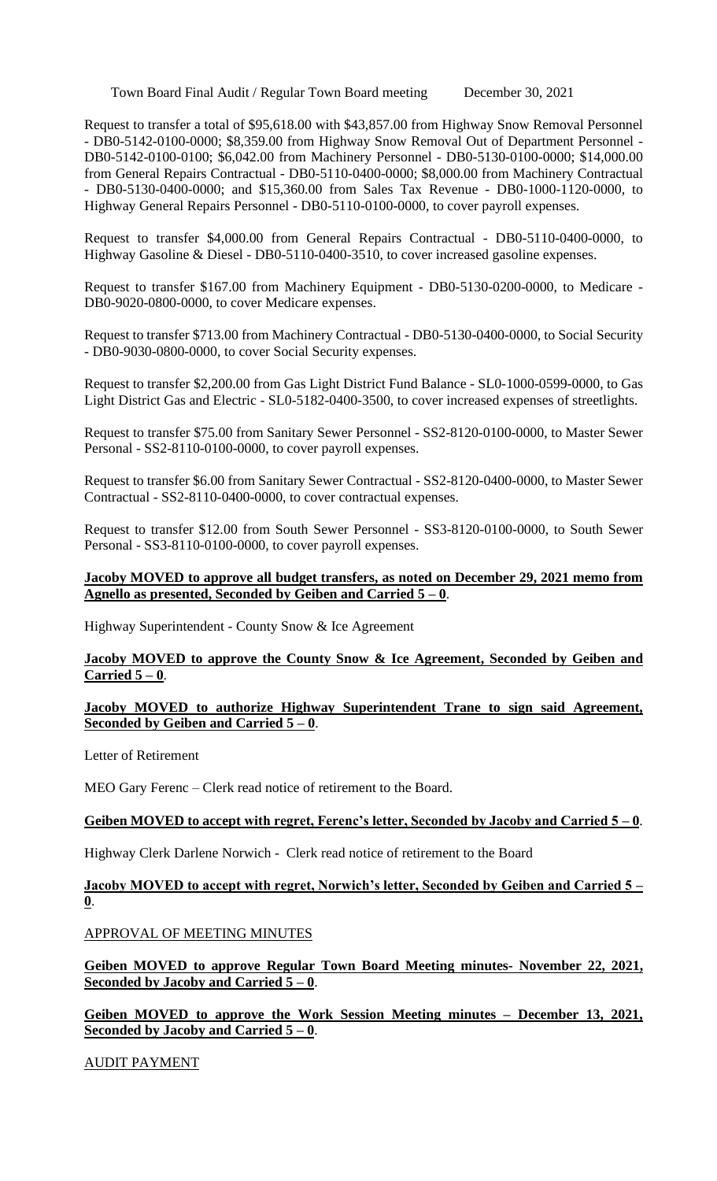Request to transfer a total of \$95,618.00 with \$43,857.00 from Highway Snow Removal Personnel - DB0-5142-0100-0000; \$8,359.00 from Highway Snow Removal Out of Department Personnel - DB0-5142-0100-0100; \$6,042.00 from Machinery Personnel - DB0-5130-0100-0000; \$14,000.00 from General Repairs Contractual - DB0-5110-0400-0000; \$8,000.00 from Machinery Contractual - DB0-5130-0400-0000; and \$15,360.00 from Sales Tax Revenue - DB0-1000-1120-0000, to Highway General Repairs Personnel - DB0-5110-0100-0000, to cover payroll expenses.

Request to transfer \$4,000.00 from General Repairs Contractual - DB0-5110-0400-0000, to Highway Gasoline & Diesel - DB0-5110-0400-3510, to cover increased gasoline expenses.

Request to transfer \$167.00 from Machinery Equipment - DB0-5130-0200-0000, to Medicare - DB0-9020-0800-0000, to cover Medicare expenses.

Request to transfer \$713.00 from Machinery Contractual - DB0-5130-0400-0000, to Social Security - DB0-9030-0800-0000, to cover Social Security expenses.

Request to transfer \$2,200.00 from Gas Light District Fund Balance - SL0-1000-0599-0000, to Gas Light District Gas and Electric - SL0-5182-0400-3500, to cover increased expenses of streetlights.

Request to transfer \$75.00 from Sanitary Sewer Personnel - SS2-8120-0100-0000, to Master Sewer Personal - SS2-8110-0100-0000, to cover payroll expenses.

Request to transfer \$6.00 from Sanitary Sewer Contractual - SS2-8120-0400-0000, to Master Sewer Contractual - SS2-8110-0400-0000, to cover contractual expenses.

Request to transfer \$12.00 from South Sewer Personnel - SS3-8120-0100-0000, to South Sewer Personal - SS3-8110-0100-0000, to cover payroll expenses.

## **Jacoby MOVED to approve all budget transfers, as noted on December 29, 2021 memo from Agnello as presented, Seconded by Geiben and Carried 5 – 0**.

Highway Superintendent - County Snow & Ice Agreement

## **Jacoby MOVED to approve the County Snow & Ice Agreement, Seconded by Geiben and Carried 5 – 0**.

**Jacoby MOVED to authorize Highway Superintendent Trane to sign said Agreement, Seconded by Geiben and Carried 5 – 0**.

Letter of Retirement

MEO Gary Ferenc – Clerk read notice of retirement to the Board.

### **Geiben MOVED to accept with regret, Ferenc's letter, Seconded by Jacoby and Carried 5 – 0**.

Highway Clerk Darlene Norwich - Clerk read notice of retirement to the Board

# **Jacoby MOVED to accept with regret, Norwich's letter, Seconded by Geiben and Carried 5 – 0**.

APPROVAL OF MEETING MINUTES

**Geiben MOVED to approve Regular Town Board Meeting minutes- November 22, 2021, Seconded by Jacoby and Carried 5 – 0**.

**Geiben MOVED to approve the Work Session Meeting minutes – December 13, 2021, Seconded by Jacoby and Carried 5 – 0**.

AUDIT PAYMENT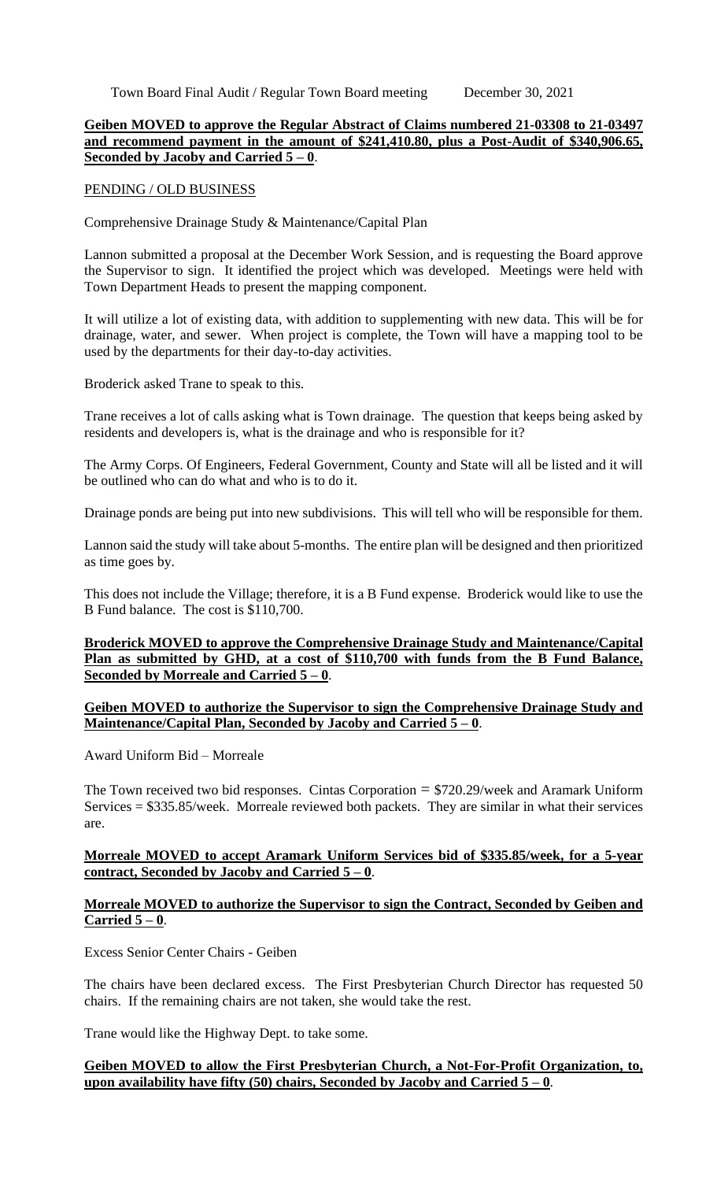#### **Geiben MOVED to approve the Regular Abstract of Claims numbered 21-03308 to 21-03497 and recommend payment in the amount of \$241,410.80, plus a Post-Audit of \$340,906.65, Seconded by Jacoby and Carried 5 – 0**.

#### PENDING / OLD BUSINESS

Comprehensive Drainage Study & Maintenance/Capital Plan

Lannon submitted a proposal at the December Work Session, and is requesting the Board approve the Supervisor to sign. It identified the project which was developed. Meetings were held with Town Department Heads to present the mapping component.

It will utilize a lot of existing data, with addition to supplementing with new data. This will be for drainage, water, and sewer. When project is complete, the Town will have a mapping tool to be used by the departments for their day-to-day activities.

Broderick asked Trane to speak to this.

Trane receives a lot of calls asking what is Town drainage. The question that keeps being asked by residents and developers is, what is the drainage and who is responsible for it?

The Army Corps. Of Engineers, Federal Government, County and State will all be listed and it will be outlined who can do what and who is to do it.

Drainage ponds are being put into new subdivisions. This will tell who will be responsible for them.

Lannon said the study will take about 5-months. The entire plan will be designed and then prioritized as time goes by.

This does not include the Village; therefore, it is a B Fund expense. Broderick would like to use the B Fund balance. The cost is \$110,700.

#### **Broderick MOVED to approve the Comprehensive Drainage Study and Maintenance/Capital Plan as submitted by GHD, at a cost of \$110,700 with funds from the B Fund Balance, Seconded by Morreale and Carried 5 – 0**.

### **Geiben MOVED to authorize the Supervisor to sign the Comprehensive Drainage Study and Maintenance/Capital Plan, Seconded by Jacoby and Carried 5 – 0**.

Award Uniform Bid – Morreale

The Town received two bid responses. Cintas Corporation  $= $720.29$ /week and Aramark Uniform Services = \$335.85/week. Morreale reviewed both packets. They are similar in what their services are.

### **Morreale MOVED to accept Aramark Uniform Services bid of \$335.85/week, for a 5-year contract, Seconded by Jacoby and Carried 5 – 0**.

### **Morreale MOVED to authorize the Supervisor to sign the Contract, Seconded by Geiben and Carried 5 – 0**.

Excess Senior Center Chairs - Geiben

The chairs have been declared excess. The First Presbyterian Church Director has requested 50 chairs. If the remaining chairs are not taken, she would take the rest.

Trane would like the Highway Dept. to take some.

### **Geiben MOVED to allow the First Presbyterian Church, a Not-For-Profit Organization, to, upon availability have fifty (50) chairs, Seconded by Jacoby and Carried 5 – 0**.